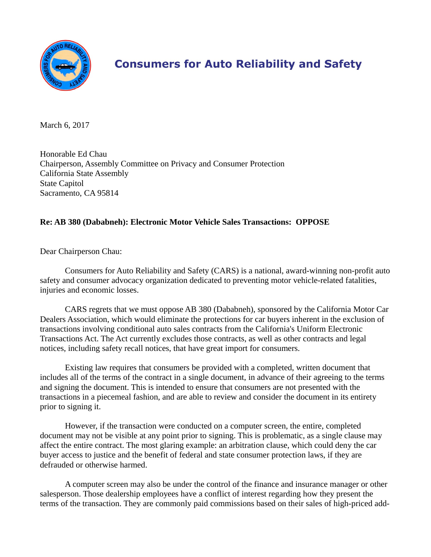

## **Consumers for Auto Reliability and Safety**

March 6, 2017

Honorable Ed Chau Chairperson, Assembly Committee on Privacy and Consumer Protection California State Assembly State Capitol Sacramento, CA 95814

## **Re: AB 380 (Dababneh): Electronic Motor Vehicle Sales Transactions: OPPOSE**

Dear Chairperson Chau:

Consumers for Auto Reliability and Safety (CARS) is a national, award-winning non-profit auto safety and consumer advocacy organization dedicated to preventing motor vehicle-related fatalities, injuries and economic losses.

CARS regrets that we must oppose AB 380 (Dababneh), sponsored by the California Motor Car Dealers Association, which would eliminate the protections for car buyers inherent in the exclusion of transactions involving conditional auto sales contracts from the California's Uniform Electronic Transactions Act. The Act currently excludes those contracts, as well as other contracts and legal notices, including safety recall notices, that have great import for consumers.

Existing law requires that consumers be provided with a completed, written document that includes all of the terms of the contract in a single document, in advance of their agreeing to the terms and signing the document. This is intended to ensure that consumers are not presented with the transactions in a piecemeal fashion, and are able to review and consider the document in its entirety prior to signing it.

However, if the transaction were conducted on a computer screen, the entire, completed document may not be visible at any point prior to signing. This is problematic, as a single clause may affect the entire contract. The most glaring example: an arbitration clause, which could deny the car buyer access to justice and the benefit of federal and state consumer protection laws, if they are defrauded or otherwise harmed.

A computer screen may also be under the control of the finance and insurance manager or other salesperson. Those dealership employees have a conflict of interest regarding how they present the terms of the transaction. They are commonly paid commissions based on their sales of high-priced add-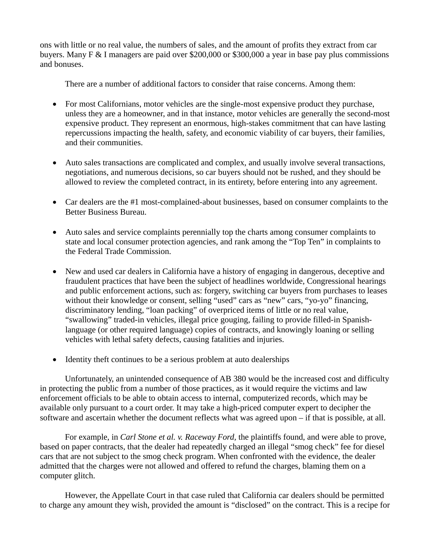ons with little or no real value, the numbers of sales, and the amount of profits they extract from car buyers. Many F & I managers are paid over \$200,000 or \$300,000 a year in base pay plus commissions and bonuses.

There are a number of additional factors to consider that raise concerns. Among them:

- For most Californians, motor vehicles are the single-most expensive product they purchase, unless they are a homeowner, and in that instance, motor vehicles are generally the second-most expensive product. They represent an enormous, high-stakes commitment that can have lasting repercussions impacting the health, safety, and economic viability of car buyers, their families, and their communities.
- Auto sales transactions are complicated and complex, and usually involve several transactions, negotiations, and numerous decisions, so car buyers should not be rushed, and they should be allowed to review the completed contract, in its entirety, before entering into any agreement.
- Car dealers are the #1 most-complained-about businesses, based on consumer complaints to the Better Business Bureau.
- Auto sales and service complaints perennially top the charts among consumer complaints to state and local consumer protection agencies, and rank among the "Top Ten" in complaints to the Federal Trade Commission.
- New and used car dealers in California have a history of engaging in dangerous, deceptive and fraudulent practices that have been the subject of headlines worldwide, Congressional hearings and public enforcement actions, such as: forgery, switching car buyers from purchases to leases without their knowledge or consent, selling "used" cars as "new" cars, "yo-yo" financing, discriminatory lending, "loan packing" of overpriced items of little or no real value, "swallowing" traded-in vehicles, illegal price gouging, failing to provide filled-in Spanishlanguage (or other required language) copies of contracts, and knowingly loaning or selling vehicles with lethal safety defects, causing fatalities and injuries.
- Identity theft continues to be a serious problem at auto dealerships

Unfortunately, an unintended consequence of AB 380 would be the increased cost and difficulty in protecting the public from a number of those practices, as it would require the victims and law enforcement officials to be able to obtain access to internal, computerized records, which may be available only pursuant to a court order. It may take a high-priced computer expert to decipher the software and ascertain whether the document reflects what was agreed upon – if that is possible, at all.

For example, in *Carl Stone et al. v. Raceway Ford,* the plaintiffs found, and were able to prove, based on paper contracts, that the dealer had repeatedly charged an illegal "smog check" fee for diesel cars that are not subject to the smog check program. When confronted with the evidence, the dealer admitted that the charges were not allowed and offered to refund the charges, blaming them on a computer glitch.

However, the Appellate Court in that case ruled that California car dealers should be permitted to charge any amount they wish, provided the amount is "disclosed" on the contract. This is a recipe for